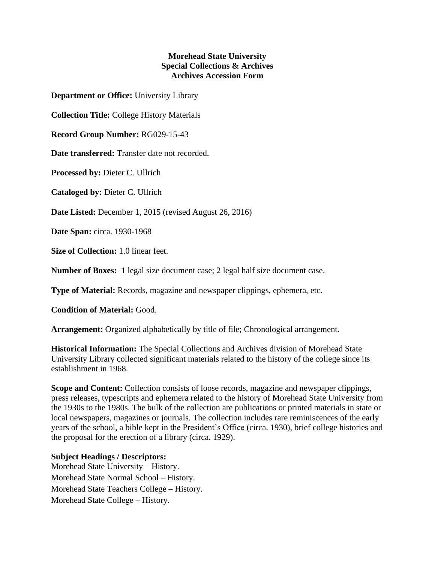## **Morehead State University Special Collections & Archives Archives Accession Form**

**Department or Office:** University Library

**Collection Title:** College History Materials

**Record Group Number:** RG029-15-43

**Date transferred:** Transfer date not recorded.

**Processed by:** Dieter C. Ullrich

**Cataloged by:** Dieter C. Ullrich

**Date Listed:** December 1, 2015 (revised August 26, 2016)

**Date Span:** circa. 1930-1968

**Size of Collection:** 1.0 linear feet.

**Number of Boxes:** 1 legal size document case; 2 legal half size document case.

**Type of Material:** Records, magazine and newspaper clippings, ephemera, etc.

**Condition of Material:** Good.

**Arrangement:** Organized alphabetically by title of file; Chronological arrangement.

**Historical Information:** The Special Collections and Archives division of Morehead State University Library collected significant materials related to the history of the college since its establishment in 1968.

**Scope and Content:** Collection consists of loose records, magazine and newspaper clippings, press releases, typescripts and ephemera related to the history of Morehead State University from the 1930s to the 1980s. The bulk of the collection are publications or printed materials in state or local newspapers, magazines or journals. The collection includes rare reminiscences of the early years of the school, a bible kept in the President's Office (circa. 1930), brief college histories and the proposal for the erection of a library (circa. 1929).

## **Subject Headings / Descriptors:**

Morehead State University – History. Morehead State Normal School – History. Morehead State Teachers College – History. Morehead State College – History.